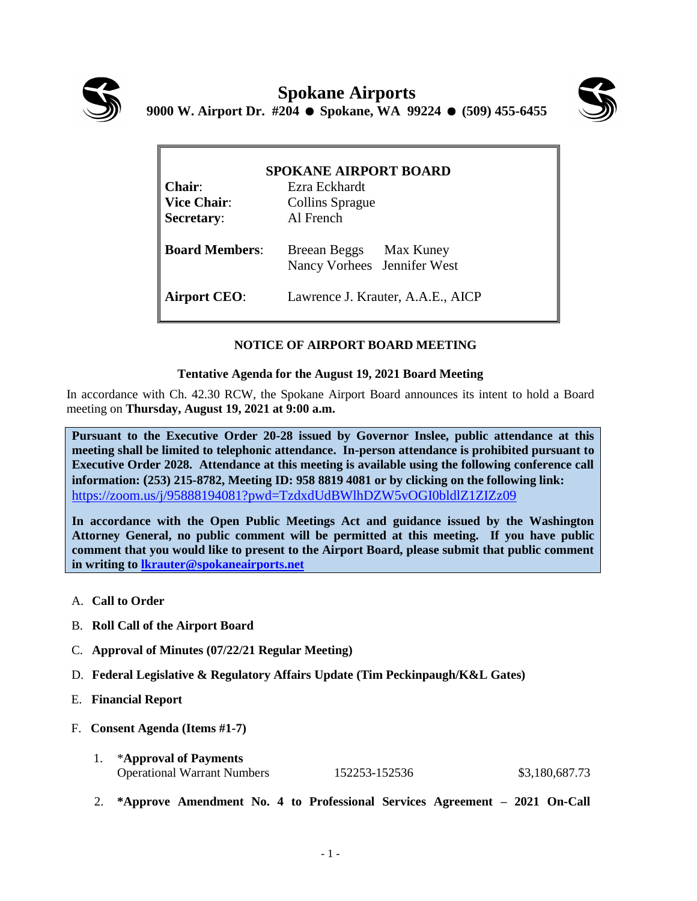



| <b>SPOKANE AIRPORT BOARD</b> |                                                       |  |
|------------------------------|-------------------------------------------------------|--|
| <b>Chair:</b>                | Ezra Eckhardt                                         |  |
| <b>Vice Chair:</b>           | <b>Collins Sprague</b>                                |  |
| <b>Secretary:</b>            | Al French                                             |  |
| <b>Board Members:</b>        | Breean Beggs Max Kuney<br>Nancy Vorhees Jennifer West |  |
| <b>Airport CEO:</b>          | Lawrence J. Krauter, A.A.E., AICP                     |  |

## **NOTICE OF AIRPORT BOARD MEETING**

## **Tentative Agenda for the August 19, 2021 Board Meeting**

In accordance with Ch. 42.30 RCW, the Spokane Airport Board announces its intent to hold a Board meeting on **Thursday, August 19, 2021 at 9:00 a.m.** 

**Pursuant to the Executive Order 20-28 issued by Governor Inslee, public attendance at this meeting shall be limited to telephonic attendance. In-person attendance is prohibited pursuant to Executive Order 2028. Attendance at this meeting is available using the following conference call information: (253) 215-8782, Meeting ID: 958 8819 4081 or by clicking on the following link:** <https://zoom.us/j/95888194081?pwd=TzdxdUdBWlhDZW5vOGI0bldlZ1ZIZz09>

**In accordance with the Open Public Meetings Act and guidance issued by the Washington Attorney General, no public comment will be permitted at this meeting. If you have public comment that you would like to present to the Airport Board, please submit that public comment in writing to [lkrauter@spokaneairports.net](mailto:lkrauter@spokaneairports.net)**

- A. **Call to Order**
- B. **Roll Call of the Airport Board**
- C. **Approval of Minutes (07/22/21 Regular Meeting)**
- D. **Federal Legislative & Regulatory Affairs Update (Tim Peckinpaugh/K&L Gates)**
- E. **Financial Report**
- F. **Consent Agenda (Items #1-7)**

| *Approval of Payments              |               |                |
|------------------------------------|---------------|----------------|
| <b>Operational Warrant Numbers</b> | 152253-152536 | \$3,180,687.73 |

2. **\*Approve Amendment No. 4 to Professional Services Agreement – 2021 On-Call**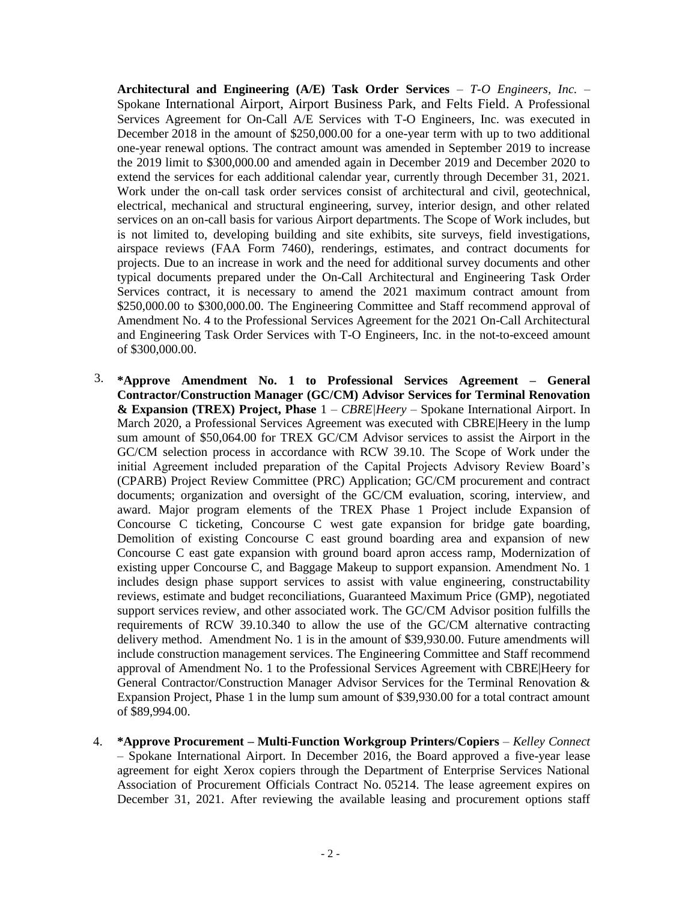**Architectural and Engineering (A/E) Task Order Services** – *T-O Engineers, Inc.* – Spokane International Airport, Airport Business Park, and Felts Field. A Professional Services Agreement for On-Call A/E Services with T-O Engineers, Inc. was executed in December 2018 in the amount of \$250,000.00 for a one-year term with up to two additional one-year renewal options. The contract amount was amended in September 2019 to increase the 2019 limit to \$300,000.00 and amended again in December 2019 and December 2020 to extend the services for each additional calendar year, currently through December 31, 2021. Work under the on-call task order services consist of architectural and civil, geotechnical, electrical, mechanical and structural engineering, survey, interior design, and other related services on an on-call basis for various Airport departments. The Scope of Work includes, but is not limited to, developing building and site exhibits, site surveys, field investigations, airspace reviews (FAA Form 7460), renderings, estimates, and contract documents for projects. Due to an increase in work and the need for additional survey documents and other typical documents prepared under the On-Call Architectural and Engineering Task Order Services contract, it is necessary to amend the 2021 maximum contract amount from \$250,000.00 to \$300,000.00. The Engineering Committee and Staff recommend approval of Amendment No. 4 to the Professional Services Agreement for the 2021 On-Call Architectural and Engineering Task Order Services with T-O Engineers, Inc. in the not-to-exceed amount of \$300,000.00.

- 3. **\*Approve Amendment No. 1 to Professional Services Agreement – General Contractor/Construction Manager (GC/CM) Advisor Services for Terminal Renovation & Expansion (TREX) Project, Phase** 1 – *CBRE|Heery* – Spokane International Airport. In March 2020, a Professional Services Agreement was executed with CBRE|Heery in the lump sum amount of \$50,064.00 for TREX GC/CM Advisor services to assist the Airport in the GC/CM selection process in accordance with RCW 39.10. The Scope of Work under the initial Agreement included preparation of the Capital Projects Advisory Review Board's (CPARB) Project Review Committee (PRC) Application; GC/CM procurement and contract documents; organization and oversight of the GC/CM evaluation, scoring, interview, and award. Major program elements of the TREX Phase 1 Project include Expansion of Concourse C ticketing, Concourse C west gate expansion for bridge gate boarding, Demolition of existing Concourse C east ground boarding area and expansion of new Concourse C east gate expansion with ground board apron access ramp, Modernization of existing upper Concourse C, and Baggage Makeup to support expansion. Amendment No. 1 includes design phase support services to assist with value engineering, constructability reviews, estimate and budget reconciliations, Guaranteed Maximum Price (GMP), negotiated support services review, and other associated work. The GC/CM Advisor position fulfills the requirements of RCW 39.10.340 to allow the use of the GC/CM alternative contracting delivery method. Amendment No. 1 is in the amount of \$39,930.00. Future amendments will include construction management services. The Engineering Committee and Staff recommend approval of Amendment No. 1 to the Professional Services Agreement with CBRE|Heery for General Contractor/Construction Manager Advisor Services for the Terminal Renovation & Expansion Project, Phase 1 in the lump sum amount of \$39,930.00 for a total contract amount of \$89,994.00.
- 4. **\*Approve Procurement – Multi-Function Workgroup Printers/Copiers** *Kelley Connect* – Spokane International Airport. In December 2016, the Board approved a five-year lease agreement for eight Xerox copiers through the Department of Enterprise Services National Association of Procurement Officials Contract No. 05214. The lease agreement expires on December 31, 2021. After reviewing the available leasing and procurement options staff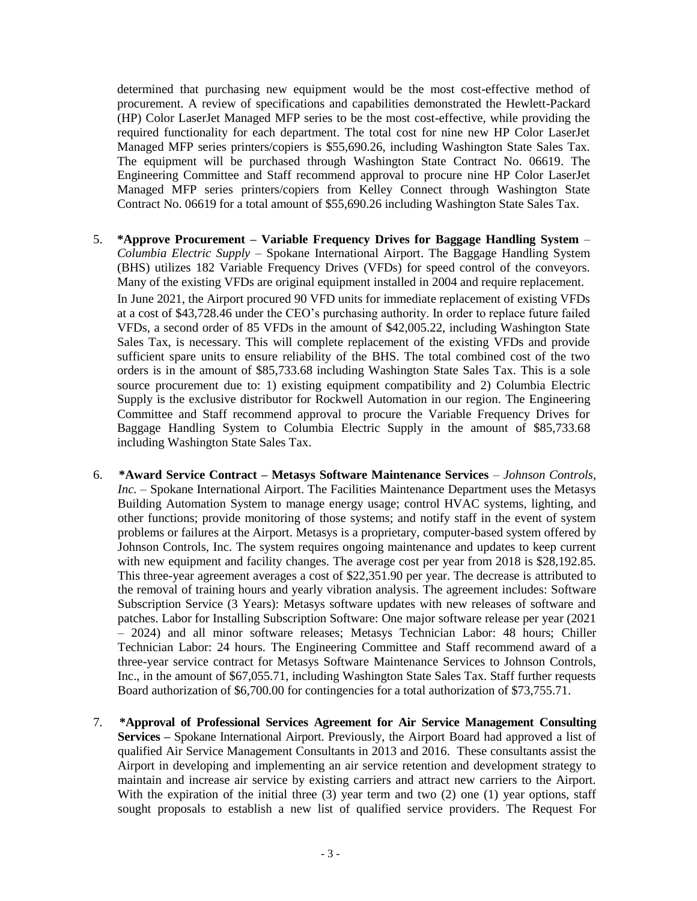determined that purchasing new equipment would be the most cost-effective method of procurement. A review of specifications and capabilities demonstrated the Hewlett-Packard (HP) Color LaserJet Managed MFP series to be the most cost-effective, while providing the required functionality for each department. The total cost for nine new HP Color LaserJet Managed MFP series printers/copiers is \$55,690.26, including Washington State Sales Tax. The equipment will be purchased through Washington State Contract No. 06619. The Engineering Committee and Staff recommend approval to procure nine HP Color LaserJet Managed MFP series printers/copiers from Kelley Connect through Washington State Contract No. 06619 for a total amount of \$55,690.26 including Washington State Sales Tax.

- 5. **\*Approve Procurement – Variable Frequency Drives for Baggage Handling System** *Columbia Electric Supply* – Spokane International Airport. The Baggage Handling System (BHS) utilizes 182 Variable Frequency Drives (VFDs) for speed control of the conveyors. Many of the existing VFDs are original equipment installed in 2004 and require replacement. In June 2021, the Airport procured 90 VFD units for immediate replacement of existing VFDs at a cost of \$43,728.46 under the CEO's purchasing authority. In order to replace future failed VFDs, a second order of 85 VFDs in the amount of \$42,005.22, including Washington State Sales Tax, is necessary. This will complete replacement of the existing VFDs and provide sufficient spare units to ensure reliability of the BHS. The total combined cost of the two orders is in the amount of \$85,733.68 including Washington State Sales Tax. This is a sole source procurement due to: 1) existing equipment compatibility and 2) Columbia Electric Supply is the exclusive distributor for Rockwell Automation in our region. The Engineering Committee and Staff recommend approval to procure the Variable Frequency Drives for Baggage Handling System to Columbia Electric Supply in the amount of \$85,733.68 including Washington State Sales Tax.
- 6. **\*Award Service Contract – Metasys Software Maintenance Services** *Johnson Controls, Inc.* – Spokane International Airport. The Facilities Maintenance Department uses the Metasys Building Automation System to manage energy usage; control HVAC systems, lighting, and other functions; provide monitoring of those systems; and notify staff in the event of system problems or failures at the Airport. Metasys is a proprietary, computer-based system offered by Johnson Controls, Inc. The system requires ongoing maintenance and updates to keep current with new equipment and facility changes. The average cost per year from 2018 is \$28,192.85. This three-year agreement averages a cost of \$22,351.90 per year. The decrease is attributed to the removal of training hours and yearly vibration analysis. The agreement includes: Software Subscription Service (3 Years): Metasys software updates with new releases of software and patches. Labor for Installing Subscription Software: One major software release per year (2021 – 2024) and all minor software releases; Metasys Technician Labor: 48 hours; Chiller Technician Labor: 24 hours. The Engineering Committee and Staff recommend award of a three-year service contract for Metasys Software Maintenance Services to Johnson Controls, Inc., in the amount of \$67,055.71, including Washington State Sales Tax. Staff further requests Board authorization of \$6,700.00 for contingencies for a total authorization of \$73,755.71.
- 7. **\*Approval of Professional Services Agreement for Air Service Management Consulting Services –** Spokane International Airport. Previously, the Airport Board had approved a list of qualified Air Service Management Consultants in 2013 and 2016. These consultants assist the Airport in developing and implementing an air service retention and development strategy to maintain and increase air service by existing carriers and attract new carriers to the Airport. With the expiration of the initial three (3) year term and two (2) one (1) year options, staff sought proposals to establish a new list of qualified service providers. The Request For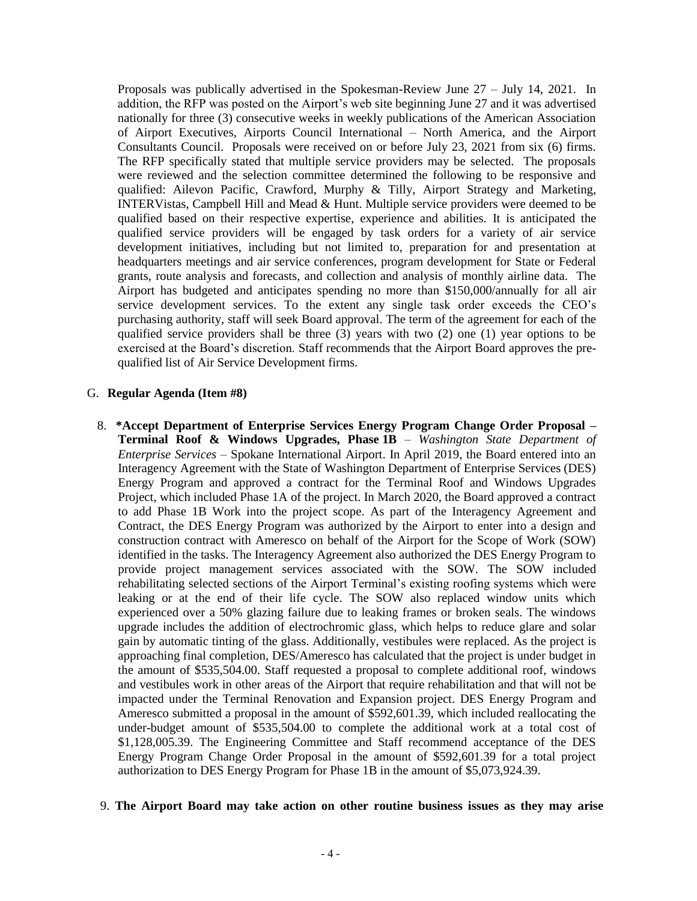Proposals was publically advertised in the Spokesman-Review June 27 – July 14, 2021. In addition, the RFP was posted on the Airport's web site beginning June 27 and it was advertised nationally for three (3) consecutive weeks in weekly publications of the American Association of Airport Executives, Airports Council International – North America, and the Airport Consultants Council. Proposals were received on or before July 23, 2021 from six (6) firms. The RFP specifically stated that multiple service providers may be selected. The proposals were reviewed and the selection committee determined the following to be responsive and qualified: Ailevon Pacific, Crawford, Murphy & Tilly, Airport Strategy and Marketing, INTERVistas, Campbell Hill and Mead & Hunt. Multiple service providers were deemed to be qualified based on their respective expertise, experience and abilities. It is anticipated the qualified service providers will be engaged by task orders for a variety of air service development initiatives, including but not limited to, preparation for and presentation at headquarters meetings and air service conferences, program development for State or Federal grants, route analysis and forecasts, and collection and analysis of monthly airline data. The Airport has budgeted and anticipates spending no more than \$150,000/annually for all air service development services. To the extent any single task order exceeds the CEO's purchasing authority, staff will seek Board approval. The term of the agreement for each of the qualified service providers shall be three (3) years with two (2) one (1) year options to be exercised at the Board's discretion. Staff recommends that the Airport Board approves the prequalified list of Air Service Development firms.

## G. **Regular Agenda (Item #8)**

8. **\*Accept Department of Enterprise Services Energy Program Change Order Proposal – Terminal Roof & Windows Upgrades, Phase 1B** – *Washington State Department of Enterprise Services* – Spokane International Airport. In April 2019, the Board entered into an Interagency Agreement with the State of Washington Department of Enterprise Services (DES) Energy Program and approved a contract for the Terminal Roof and Windows Upgrades Project, which included Phase 1A of the project. In March 2020, the Board approved a contract to add Phase 1B Work into the project scope. As part of the Interagency Agreement and Contract, the DES Energy Program was authorized by the Airport to enter into a design and construction contract with Ameresco on behalf of the Airport for the Scope of Work (SOW) identified in the tasks. The Interagency Agreement also authorized the DES Energy Program to provide project management services associated with the SOW. The SOW included rehabilitating selected sections of the Airport Terminal's existing roofing systems which were leaking or at the end of their life cycle. The SOW also replaced window units which experienced over a 50% glazing failure due to leaking frames or broken seals. The windows upgrade includes the addition of electrochromic glass, which helps to reduce glare and solar gain by automatic tinting of the glass. Additionally, vestibules were replaced. As the project is approaching final completion, DES/Ameresco has calculated that the project is under budget in the amount of \$535,504.00. Staff requested a proposal to complete additional roof, windows and vestibules work in other areas of the Airport that require rehabilitation and that will not be impacted under the Terminal Renovation and Expansion project. DES Energy Program and Ameresco submitted a proposal in the amount of \$592,601.39, which included reallocating the under-budget amount of \$535,504.00 to complete the additional work at a total cost of \$1,128,005.39. The Engineering Committee and Staff recommend acceptance of the DES Energy Program Change Order Proposal in the amount of \$592,601.39 for a total project authorization to DES Energy Program for Phase 1B in the amount of \$5,073,924.39.

## 9. **The Airport Board may take action on other routine business issues as they may arise**